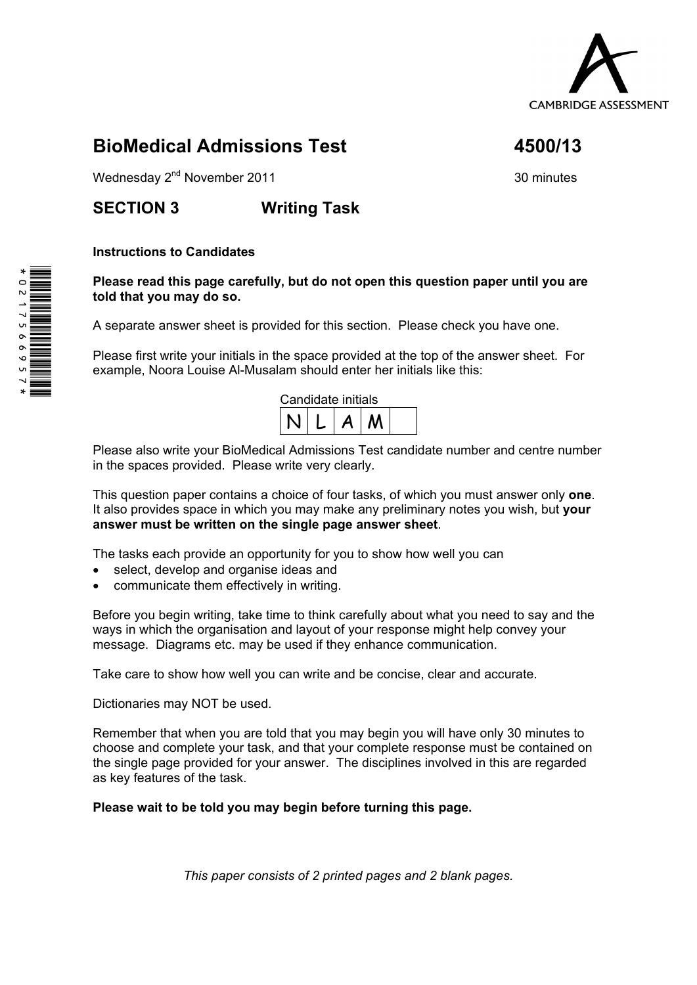

# **BioMedical Admissions Test 4500/13**

Wednesday  $2<sup>nd</sup>$  November 2011 30 minutes

# **SECTION 3 Writing Task**

### **Instructions to Candidates**

**Please read this page carefully, but do not open this question paper until you are told that you may do so.** 

A separate answer sheet is provided for this section. Please check you have one.

Please first write your initials in the space provided at the top of the answer sheet. For example, Noora Louise Al-Musalam should enter her initials like this:

| Candidate initials |  |  |  |  |
|--------------------|--|--|--|--|
|                    |  |  |  |  |

Please also write your BioMedical Admissions Test candidate number and centre number in the spaces provided. Please write very clearly.

This question paper contains a choice of four tasks, of which you must answer only **one**. It also provides space in which you may make any preliminary notes you wish, but **your answer must be written on the single page answer sheet**.

The tasks each provide an opportunity for you to show how well you can

- select, develop and organise ideas and
- communicate them effectively in writing.

Before you begin writing, take time to think carefully about what you need to say and the ways in which the organisation and layout of your response might help convey your message. Diagrams etc. may be used if they enhance communication.

Take care to show how well you can write and be concise, clear and accurate.

Dictionaries may NOT be used.

Remember that when you are told that you may begin you will have only 30 minutes to choose and complete your task, and that your complete response must be contained on the single page provided for your answer. The disciplines involved in this are regarded as key features of the task.

#### **Please wait to be told you may begin before turning this page.**

*This paper consists of 2 printed pages and 2 blank pages.* 

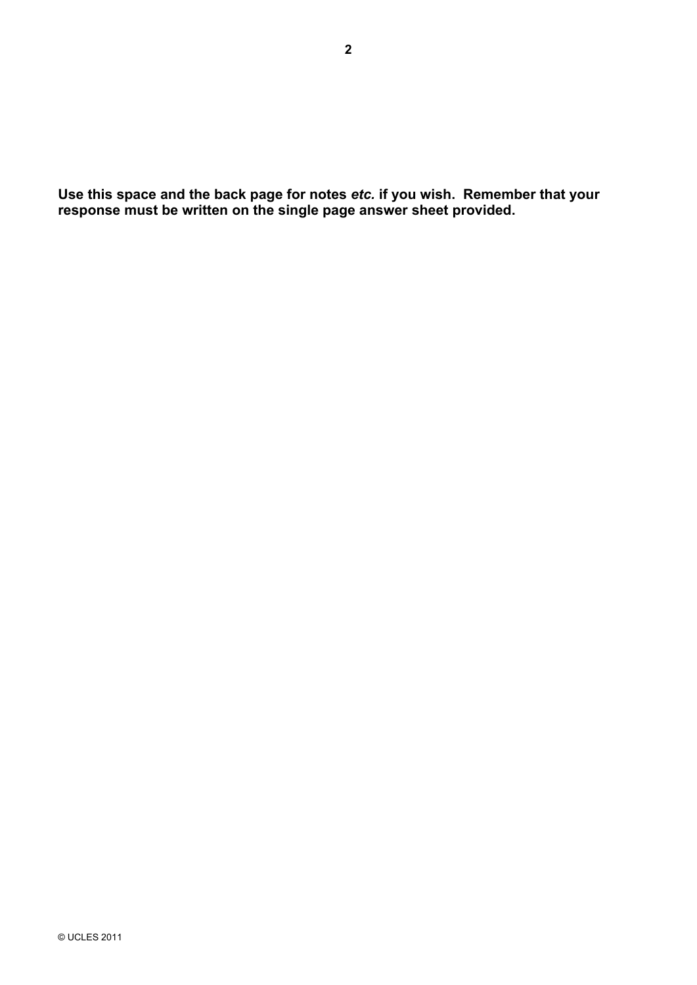**Use this space and the back page for notes** *etc.* **if you wish. Remember that your response must be written on the single page answer sheet provided.**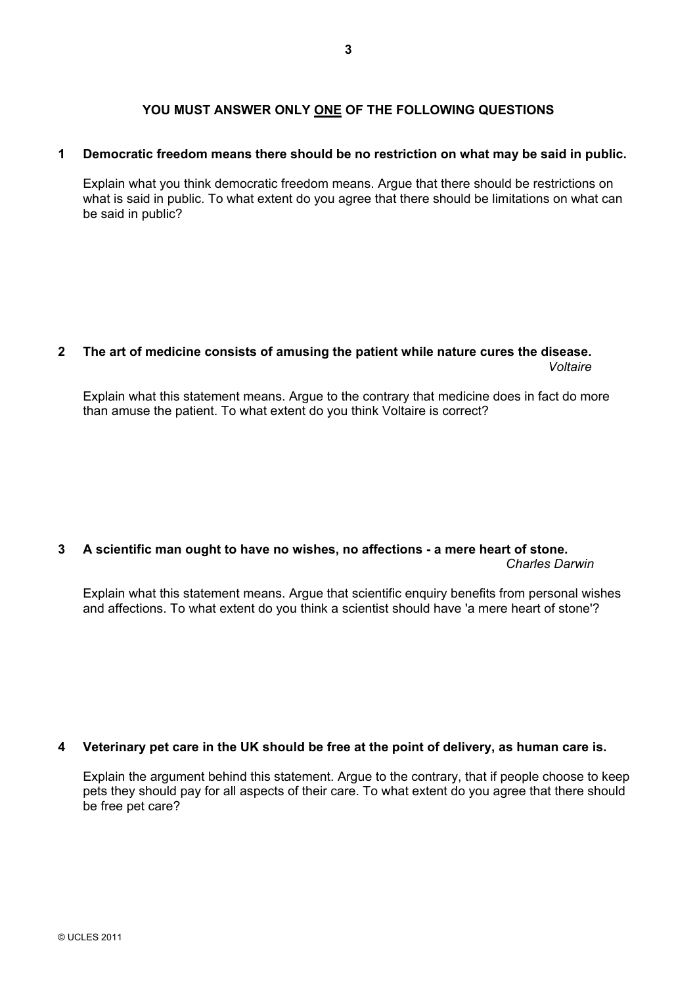### **YOU MUST ANSWER ONLY ONE OF THE FOLLOWING QUESTIONS**

#### **1 Democratic freedom means there should be no restriction on what may be said in public.**

Explain what you think democratic freedom means. Argue that there should be restrictions on what is said in public. To what extent do you agree that there should be limitations on what can be said in public?

#### **2 The art of medicine consists of amusing the patient while nature cures the disease.**  *Voltaire*

Explain what this statement means. Argue to the contrary that medicine does in fact do more than amuse the patient. To what extent do you think Voltaire is correct?

## **3 A scientific man ought to have no wishes, no affections - a mere heart of stone.**

*Charles Darwin* 

Explain what this statement means. Argue that scientific enquiry benefits from personal wishes and affections. To what extent do you think a scientist should have 'a mere heart of stone'?

#### **4 Veterinary pet care in the UK should be free at the point of delivery, as human care is.**

Explain the argument behind this statement. Argue to the contrary, that if people choose to keep pets they should pay for all aspects of their care. To what extent do you agree that there should be free pet care?